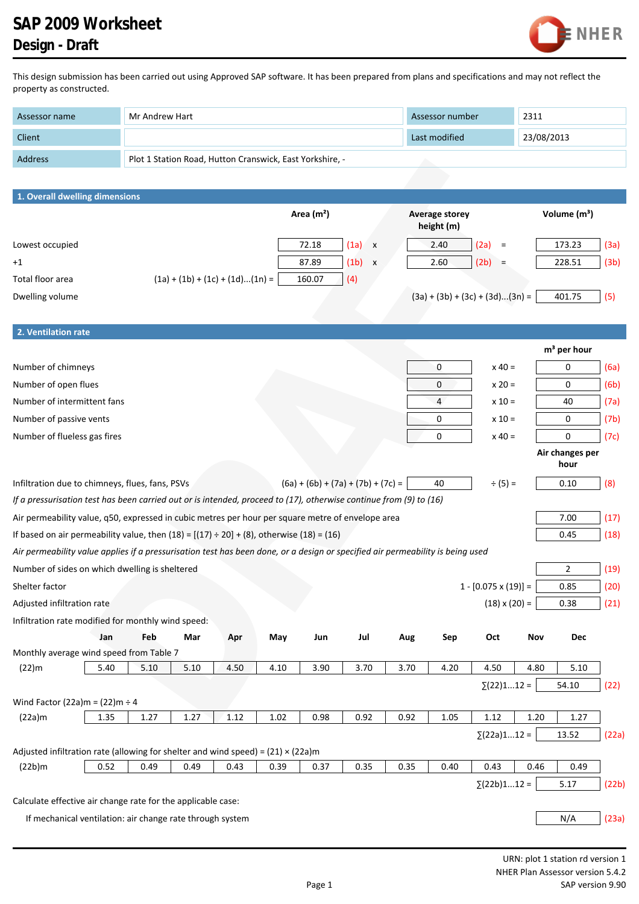## **SAP 2009 Worksheet Design - Draft**



This design submission has been carried out using Approved SAP software. It has been prepared from plans and specifications and may not reflect the property as constructed.

| Assessor name  | Mr Andrew Hart                                           | Assessor number | 2311       |
|----------------|----------------------------------------------------------|-----------------|------------|
| Client         |                                                          | Last modified   | 23/08/2013 |
| <b>Address</b> | Plot 1 Station Road, Hutton Cranswick, East Yorkshire, - |                 |            |

| Client                                                                                                                         |      |                                                          |      |      |             |                                      |      | Last modified                       |                             | 23/08/2013 |                          |       |
|--------------------------------------------------------------------------------------------------------------------------------|------|----------------------------------------------------------|------|------|-------------|--------------------------------------|------|-------------------------------------|-----------------------------|------------|--------------------------|-------|
| Address                                                                                                                        |      | Plot 1 Station Road, Hutton Cranswick, East Yorkshire, - |      |      |             |                                      |      |                                     |                             |            |                          |       |
|                                                                                                                                |      |                                                          |      |      |             |                                      |      |                                     |                             |            |                          |       |
| 1. Overall dwelling dimensions                                                                                                 |      |                                                          |      |      |             |                                      |      |                                     |                             |            |                          |       |
|                                                                                                                                |      |                                                          |      |      | Area $(m2)$ |                                      |      | <b>Average storey</b><br>height (m) |                             |            | Volume (m <sup>3</sup> ) |       |
| Lowest occupied                                                                                                                |      |                                                          |      |      | 72.18       | (1a)<br>$\mathbf{x}$                 |      | 2.40                                | (2a)<br>$\equiv$            |            | 173.23                   | (3a)  |
| $+1$                                                                                                                           |      |                                                          |      |      | 87.89       | $(1b) \times$                        |      | 2.60                                | (2b)<br>$\equiv$            |            | 228.51                   | (3b)  |
| Total floor area                                                                                                               |      | $(1a) + (1b) + (1c) + (1d)(1n) =$                        |      |      | 160.07      | (4)                                  |      |                                     |                             |            |                          |       |
| Dwelling volume                                                                                                                |      |                                                          |      |      |             |                                      |      | $(3a) + (3b) + (3c) + (3d)(3n) =$   |                             |            | 401.75                   | (5)   |
|                                                                                                                                |      |                                                          |      |      |             |                                      |      |                                     |                             |            |                          |       |
| 2. Ventilation rate                                                                                                            |      |                                                          |      |      |             |                                      |      |                                     |                             |            |                          |       |
|                                                                                                                                |      |                                                          |      |      |             |                                      |      |                                     |                             |            | m <sup>3</sup> per hour  |       |
| Number of chimneys                                                                                                             |      |                                                          |      |      |             |                                      |      | 0                                   | $x 40 =$                    |            | 0                        | (6a)  |
| Number of open flues                                                                                                           |      |                                                          |      |      |             |                                      |      | 0                                   | $x 20 =$                    |            | 0                        | (6b)  |
| Number of intermittent fans                                                                                                    |      |                                                          |      |      |             |                                      |      | $\overline{4}$                      | $x 10 =$                    |            | 40                       | (7a)  |
| Number of passive vents                                                                                                        |      |                                                          |      |      |             |                                      |      | 0                                   | $x 10 =$                    |            | 0                        | (7b)  |
| Number of flueless gas fires                                                                                                   |      |                                                          |      |      |             |                                      |      | 0                                   | $x 40 =$                    |            | 0                        | (7c)  |
|                                                                                                                                |      |                                                          |      |      |             |                                      |      |                                     |                             |            | Air changes per          |       |
|                                                                                                                                |      |                                                          |      |      |             |                                      |      |                                     |                             |            | hour                     |       |
| Infiltration due to chimneys, flues, fans, PSVs                                                                                |      |                                                          |      |      |             | $(6a) + (6b) + (7a) + (7b) + (7c) =$ |      | 40                                  | $\div (5) =$                |            | 0.10                     | (8)   |
| If a pressurisation test has been carried out or is intended, proceed to (17), otherwise continue from (9) to (16)             |      |                                                          |      |      |             |                                      |      |                                     |                             |            |                          |       |
| Air permeability value, q50, expressed in cubic metres per hour per square metre of envelope area                              |      |                                                          |      |      |             |                                      |      |                                     |                             |            | 7.00                     | (17)  |
| If based on air permeability value, then $(18) = [(17) \div 20] + (8)$ , otherwise $(18) = (16)$                               |      |                                                          |      |      |             |                                      |      |                                     |                             |            | 0.45                     | (18)  |
| Air permeability value applies if a pressurisation test has been done, or a design or specified air permeability is being used |      |                                                          |      |      |             |                                      |      |                                     |                             |            |                          |       |
| Number of sides on which dwelling is sheltered                                                                                 |      |                                                          |      |      |             |                                      |      |                                     |                             |            | $\overline{2}$           | (19)  |
| Shelter factor                                                                                                                 |      |                                                          |      |      |             |                                      |      |                                     | $1 - [0.075 \times (19)] =$ |            | 0.85                     | (20)  |
| Adjusted infiltration rate                                                                                                     |      |                                                          |      |      |             |                                      |      |                                     | $(18) \times (20) =$        |            | 0.38                     | (21)  |
| Infiltration rate modified for monthly wind speed:                                                                             |      |                                                          |      |      |             |                                      |      |                                     |                             |            |                          |       |
| Jan                                                                                                                            | Feb  | Mar                                                      | Apr  | May  | Jun         | Jul                                  | Aug  | Sep                                 | Oct                         | Nov        | <b>Dec</b>               |       |
| Monthly average wind speed from Table 7                                                                                        |      |                                                          |      |      |             |                                      |      |                                     |                             |            |                          |       |
| (22)m<br>5.40                                                                                                                  | 5.10 | 5.10                                                     | 4.50 | 4.10 | 3.90        | 3.70                                 | 3.70 | 4.20                                | 4.50                        | 4.80       | 5.10                     |       |
|                                                                                                                                |      |                                                          |      |      |             |                                      |      |                                     | $\Sigma(22)112 =$           |            | 54.10                    | (22)  |
| Wind Factor (22a)m = $(22)$ m ÷ 4                                                                                              |      |                                                          |      |      |             |                                      |      |                                     |                             |            |                          |       |
| 1.35<br>(22a)m                                                                                                                 | 1.27 | 1.27                                                     | 1.12 | 1.02 | 0.98        | 0.92                                 | 0.92 | 1.05                                | 1.12                        | 1.20       | 1.27                     |       |
|                                                                                                                                |      |                                                          |      |      |             |                                      |      |                                     | $\Sigma(22a)112 =$          |            | 13.52                    | (22a) |
| Adjusted infiltration rate (allowing for shelter and wind speed) = $(21) \times (22a)$ m                                       |      |                                                          |      |      |             |                                      |      |                                     |                             |            |                          |       |
| 0.52<br>(22b)m                                                                                                                 | 0.49 | 0.49                                                     | 0.43 | 0.39 | 0.37        | 0.35                                 | 0.35 | 0.40                                | 0.43                        | 0.46       | 0.49                     |       |
|                                                                                                                                |      |                                                          |      |      |             |                                      |      |                                     | $\Sigma(22b)112 =$          |            | 5.17                     | (22b) |
| Calculate effective air change rate for the applicable case:                                                                   |      |                                                          |      |      |             |                                      |      |                                     |                             |            |                          |       |
| If mechanical ventilation: air change rate through system                                                                      |      |                                                          |      |      |             |                                      |      |                                     |                             |            | N/A                      | (23a) |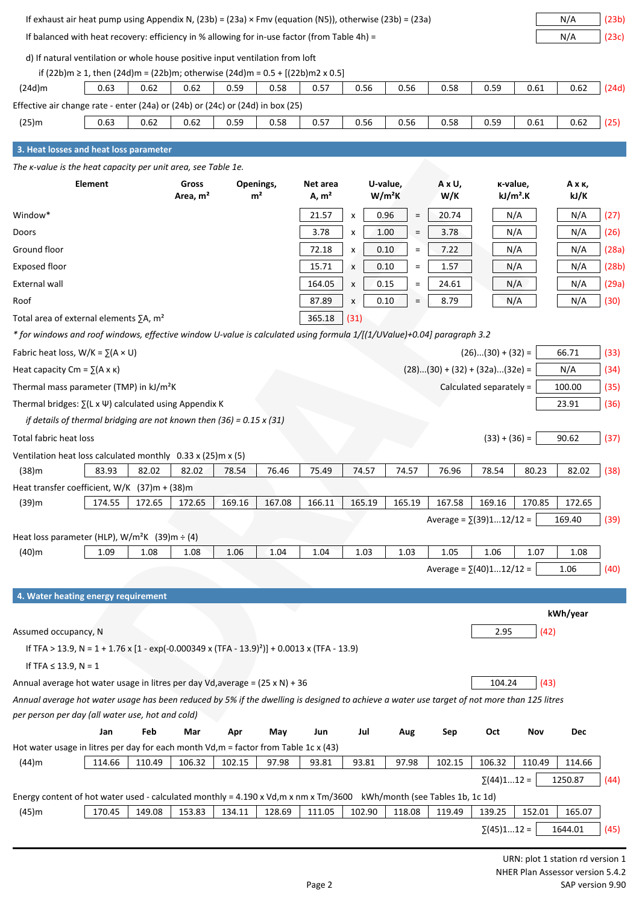| If exhaust air heat pump using Appendix N, $(23b) = (23a) \times Fmv$ (equation (N5)), otherwise $(23b) = (23a)$<br>N/A                                                         |                 |
|---------------------------------------------------------------------------------------------------------------------------------------------------------------------------------|-----------------|
| If balanced with heat recovery: efficiency in % allowing for in-use factor (from Table 4h) =                                                                                    | N/A<br>(23c)    |
| d) If natural ventilation or whole house positive input ventilation from loft                                                                                                   |                 |
| if (22b)m $\geq$ 1, then (24d)m = (22b)m; otherwise (24d)m = 0.5 + [(22b)m2 x 0.5]                                                                                              |                 |
| 0.56<br>0.61<br>$(24d)$ m<br>0.63<br>0.62<br>0.62<br>0.59<br>0.58<br>0.57<br>0.56<br>0.58<br>0.59                                                                               | 0.62<br>(24d)   |
| Effective air change rate - enter (24a) or (24b) or (24c) or (24d) in box (25)                                                                                                  |                 |
| (25)m<br>0.56<br>0.58<br>0.59<br>0.61<br>0.63<br>0.62<br>0.62<br>0.59<br>0.58<br>0.57<br>0.56                                                                                   | 0.62<br>(25)    |
|                                                                                                                                                                                 |                 |
| 3. Heat losses and heat loss parameter                                                                                                                                          |                 |
| The <i>k</i> -value is the heat capacity per unit area, see Table 1e.                                                                                                           |                 |
| Element<br>Gross<br>U-value,<br>A x U,<br>K-value,<br>Openings,<br>Net area<br>m <sup>2</sup><br>$W/m^2K$<br>W/K<br>$kJ/m2$ .K<br>Area, m <sup>2</sup><br>A, m <sup>2</sup>     | Ахк,<br>kJ/K    |
| 0.96<br>21.57<br>N/A<br>Window*<br>20.74<br>X<br>$\equiv$                                                                                                                       | N/A<br>(27)     |
| 3.78<br>N/A<br>Doors<br>3.78<br>1.00<br>$\equiv$<br>x                                                                                                                           | (26)<br>N/A     |
| N/A<br>Ground floor<br>72.18<br>0.10<br>7.22<br>x<br>$\equiv$                                                                                                                   | N/A<br>(28a)    |
| 15.71<br>0.10<br>1.57<br>N/A<br>Exposed floor<br>x<br>$\equiv$                                                                                                                  | (28b)<br>N/A    |
| External wall<br>164.05<br>0.15<br>24.61<br>N/A<br>X<br>$\equiv$                                                                                                                | (29a)<br>N/A    |
| N/A<br>Roof<br>87.89<br>0.10<br>8.79<br>۵<br>X                                                                                                                                  | N/A<br>(30)     |
| 365.18<br>Total area of external elements $\Sigma A$ , m <sup>2</sup><br>(31)                                                                                                   |                 |
| * for windows and roof windows, effective window U-value is calculated using formula 1/[(1/UValue)+0.04] paragraph 3.2                                                          |                 |
| $(26)(30) + (32) =$<br>Fabric heat loss, $W/K = \sum (A \times U)$                                                                                                              | 66.71<br>(33)   |
| $(28)(30) + (32) + (32a)(32e) =$<br>Heat capacity $Cm = \sum (A \times \kappa)$                                                                                                 | N/A<br>(34)     |
| Thermal mass parameter (TMP) in kJ/m <sup>2</sup> K<br>Calculated separately =                                                                                                  | (35)<br>100.00  |
|                                                                                                                                                                                 | 23.91           |
| Thermal bridges: $\Sigma(L \times \Psi)$ calculated using Appendix K<br>if details of thermal bridging are not known then $(36) = 0.15 \times (31)$                             | (36)            |
|                                                                                                                                                                                 |                 |
| Total fabric heat loss<br>$(33) + (36) =$                                                                                                                                       | 90.62<br>(37)   |
| Ventilation heat loss calculated monthly $0.33 \times (25)$ m x (5)<br>(38)m<br>83.93<br>82.02<br>82.02<br>80.23<br>78.54<br>76.46<br>75.49<br>74.57<br>74.57<br>76.96<br>78.54 | 82.02<br>(38)   |
|                                                                                                                                                                                 |                 |
| Heat transfer coefficient, $W/K$ (37)m + (38)m<br>(39)m<br>174.55<br>172.65<br>169.16<br>167.08<br>166.11<br>165.19<br>165.19<br>167.58<br>169.16<br>170.85<br>172.65           | 172.65          |
| Average = $\Sigma(39)112/12$ =                                                                                                                                                  | 169.40<br>(39)  |
| Heat loss parameter (HLP), $W/m^2K$ (39)m $\div$ (4)                                                                                                                            |                 |
| 1.06<br>1.04<br>1.04<br>1.03<br>1.05<br>1.06<br>$(40)$ m<br>1.09<br>1.08<br>1.08<br>1.03<br>1.07                                                                                | 1.08            |
| Average = $\sum$ (40)112/12 =                                                                                                                                                   | 1.06<br>(40)    |
|                                                                                                                                                                                 |                 |
| 4. Water heating energy requirement                                                                                                                                             |                 |
|                                                                                                                                                                                 | kWh/year        |
| 2.95<br>(42)<br>Assumed occupancy, N                                                                                                                                            |                 |
| If TFA > 13.9, N = 1 + 1.76 x [1 - exp(-0.000349 x (TFA - 13.9) <sup>2</sup> )] + 0.0013 x (TFA - 13.9)                                                                         |                 |
| If TFA $\leq$ 13.9, N = 1                                                                                                                                                       |                 |
| (43)<br>Annual average hot water usage in litres per day Vd, average = $(25 \times N) + 36$<br>104.24                                                                           |                 |
| Annual average hot water usage has been reduced by 5% if the dwelling is designed to achieve a water use target of not more than 125 litres                                     |                 |
| per person per day (all water use, hot and cold)                                                                                                                                |                 |
| Feb<br>Oct<br>Jan<br>Mar<br>Apr<br>May<br>Jul<br>Sep<br>Nov<br>Jun<br>Aug                                                                                                       | <b>Dec</b>      |
| Hot water usage in litres per day for each month Vd, m = factor from Table 1c x (43)                                                                                            |                 |
| 106.32<br>114.66<br>110.49<br>106.32<br>102.15<br>97.98<br>93.81<br>97.98<br>102.15<br>110.49<br>$(44)$ m<br>93.81                                                              | 114.66          |
| $\Sigma(44)112 =$                                                                                                                                                               | 1250.87<br>(44) |
| Energy content of hot water used - calculated monthly = 4.190 x Vd, m x nm x Tm/3600 kWh/month (see Tables 1b, 1c 1d)                                                           |                 |
| 170.45<br>149.08<br>153.83<br>128.69<br>111.05<br>102.90<br>118.08<br>119.49<br>139.25<br>152.01<br>$(45)$ m<br>134.11                                                          | 165.07          |
| $\Sigma(45)112 =$                                                                                                                                                               | 1644.01<br>(45) |
|                                                                                                                                                                                 |                 |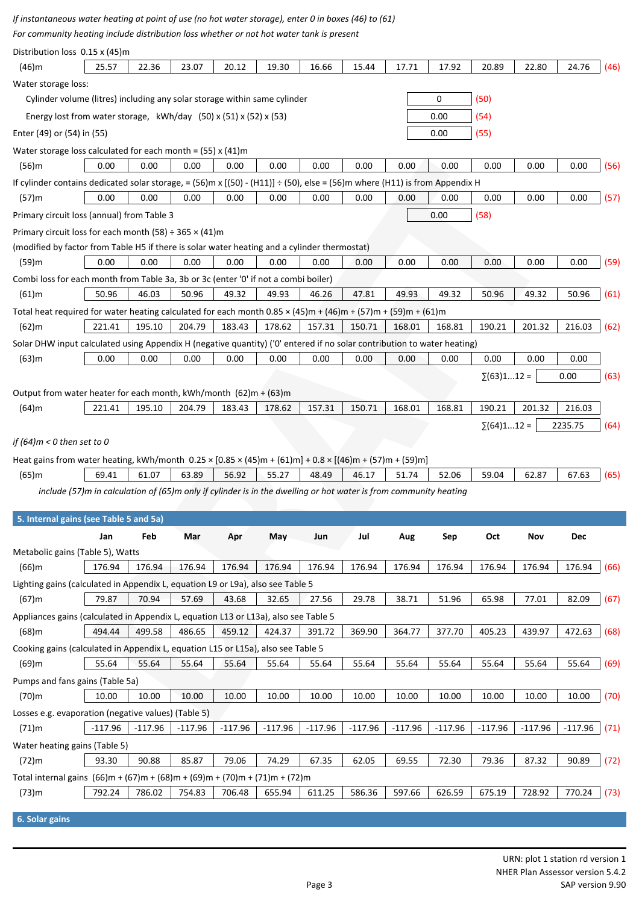If instantaneous water heating at point of use (no hot water storage), enter 0 in boxes (46) to (61)

*For community heating include distribution loss whether or not hot water tank is present*

| Distribution loss 0.15 x (45)m                                                                                                                                  |                                                                                                                  |           |           |           |           |           |           |           |           |                   |           |           |      |
|-----------------------------------------------------------------------------------------------------------------------------------------------------------------|------------------------------------------------------------------------------------------------------------------|-----------|-----------|-----------|-----------|-----------|-----------|-----------|-----------|-------------------|-----------|-----------|------|
| $(46)$ m                                                                                                                                                        | 25.57                                                                                                            | 22.36     | 23.07     | 20.12     | 19.30     | 16.66     | 15.44     | 17.71     | 17.92     | 20.89             | 22.80     | 24.76     | (46) |
| Water storage loss:                                                                                                                                             |                                                                                                                  |           |           |           |           |           |           |           |           |                   |           |           |      |
| Cylinder volume (litres) including any solar storage within same cylinder                                                                                       |                                                                                                                  |           |           |           |           |           |           |           | 0         | (50)              |           |           |      |
| Energy lost from water storage, $kWh/day$ (50) x (51) x (52) x (53)                                                                                             |                                                                                                                  |           |           |           |           |           |           |           | 0.00      | (54)              |           |           |      |
| Enter (49) or (54) in (55)                                                                                                                                      |                                                                                                                  |           |           |           |           |           |           |           | 0.00      | (55)              |           |           |      |
| Water storage loss calculated for each month = $(55)$ x $(41)$ m                                                                                                |                                                                                                                  |           |           |           |           |           |           |           |           |                   |           |           |      |
| $(56)$ m                                                                                                                                                        | 0.00                                                                                                             | 0.00      | 0.00      | 0.00      | 0.00      | 0.00      | 0.00      | 0.00      | 0.00      | 0.00              | 0.00      | 0.00      | (56) |
| If cylinder contains dedicated solar storage, = (56)m x [(50) - (H11)] ÷ (50), else = (56)m where (H11) is from Appendix H                                      |                                                                                                                  |           |           |           |           |           |           |           |           |                   |           |           |      |
| $(57)$ m                                                                                                                                                        | 0.00                                                                                                             | 0.00      | 0.00      | 0.00      | 0.00      | 0.00      | 0.00      | 0.00      | 0.00      | 0.00              | 0.00      | 0.00      | (57) |
| Primary circuit loss (annual) from Table 3                                                                                                                      |                                                                                                                  |           |           |           |           |           |           |           | 0.00      | (58)              |           |           |      |
| Primary circuit loss for each month (58) $\div$ 365 $\times$ (41)m                                                                                              |                                                                                                                  |           |           |           |           |           |           |           |           |                   |           |           |      |
| (modified by factor from Table H5 if there is solar water heating and a cylinder thermostat)                                                                    |                                                                                                                  |           |           |           |           |           |           |           |           |                   |           |           |      |
| (59)m                                                                                                                                                           | 0.00                                                                                                             | 0.00      | 0.00      | 0.00      | 0.00      | 0.00      | 0.00      | 0.00      | 0.00      | 0.00              | 0.00      | 0.00      | (59) |
| Combi loss for each month from Table 3a, 3b or 3c (enter '0' if not a combi boiler)                                                                             |                                                                                                                  |           |           |           |           |           |           |           |           |                   |           |           |      |
| $(61)$ m                                                                                                                                                        | 50.96                                                                                                            | 46.03     | 50.96     | 49.32     | 49.93     | 46.26     | 47.81     | 49.93     | 49.32     | 50.96             | 49.32     | 50.96     | (61) |
|                                                                                                                                                                 |                                                                                                                  |           |           |           |           |           |           |           |           |                   |           |           |      |
| Total heat required for water heating calculated for each month $0.85 \times (45)$ m + $(46)$ m + $(57)$ m + $(59)$ m + $(61)$ m<br>$(62)$ m                    | 221.41                                                                                                           | 195.10    | 204.79    | 183.43    | 178.62    | 157.31    | 150.71    | 168.01    | 168.81    | 190.21            | 201.32    | 216.03    | (62) |
|                                                                                                                                                                 |                                                                                                                  |           |           |           |           |           |           |           |           |                   |           |           |      |
| Solar DHW input calculated using Appendix H (negative quantity) ('0' entered if no solar contribution to water heating)                                         |                                                                                                                  |           |           |           |           |           |           |           |           |                   |           |           |      |
| $(63)$ m                                                                                                                                                        | 0.00                                                                                                             | 0.00      | 0.00      | 0.00      | 0.00      | 0.00      | 0.00      | 0.00      | 0.00      | 0.00              | 0.00      | 0.00      |      |
|                                                                                                                                                                 |                                                                                                                  |           |           |           |           |           |           |           |           | $\Sigma(63)112 =$ |           | 0.00      | (63) |
| Output from water heater for each month, kWh/month (62)m + (63)m                                                                                                |                                                                                                                  |           |           |           |           |           |           |           |           |                   |           |           |      |
| $(64)$ m                                                                                                                                                        | 221.41                                                                                                           | 195.10    | 204.79    | 183.43    | 178.62    | 157.31    | 150.71    | 168.01    | 168.81    | 190.21            | 201.32    | 216.03    |      |
|                                                                                                                                                                 |                                                                                                                  |           |           |           |           |           |           |           |           | $\Sigma(64)112 =$ |           | 2235.75   | (64) |
| if (64) $m < 0$ then set to 0                                                                                                                                   |                                                                                                                  |           |           |           |           |           |           |           |           |                   |           |           |      |
|                                                                                                                                                                 |                                                                                                                  |           |           |           |           |           |           |           |           |                   |           |           |      |
| Heat gains from water heating, kWh/month $0.25 \times [0.85 \times (45) \text{m} + (61) \text{m}] + 0.8 \times [(46) \text{m} + (57) \text{m} + (59) \text{m}]$ |                                                                                                                  |           |           |           |           |           |           |           |           |                   |           |           |      |
| (65)m                                                                                                                                                           | 69.41                                                                                                            | 61.07     | 63.89     | 56.92     | 55.27     | 48.49     | 46.17     | 51.74     | 52.06     | 59.04             | 62.87     | 67.63     | (65) |
|                                                                                                                                                                 | include (57)m in calculation of (65)m only if cylinder is in the dwelling or hot water is from community heating |           |           |           |           |           |           |           |           |                   |           |           |      |
|                                                                                                                                                                 |                                                                                                                  |           |           |           |           |           |           |           |           |                   |           |           |      |
| 5. Internal gains (see Table 5 and 5a)                                                                                                                          |                                                                                                                  |           |           |           |           |           |           |           |           |                   |           |           |      |
|                                                                                                                                                                 | Jan                                                                                                              | Feb       | Mar       | Apr       | May       | Jun       | Jul       | Aug       | Sep       | Oct               | Nov       | Dec       |      |
| Metabolic gains (Table 5), Watts                                                                                                                                |                                                                                                                  |           |           |           |           |           |           |           |           |                   |           |           |      |
| $(66)$ m                                                                                                                                                        | 176.94                                                                                                           | 176.94    | 176.94    | 176.94    | 176.94    | 176.94    | 176.94    | 176.94    | 176.94    | 176.94            | 176.94    | 176.94    | (66) |
| Lighting gains (calculated in Appendix L, equation L9 or L9a), also see Table 5                                                                                 |                                                                                                                  |           |           |           |           |           |           |           |           |                   |           |           |      |
| $(67)$ m                                                                                                                                                        | 79.87                                                                                                            | 70.94     | 57.69     | 43.68     | 32.65     | 27.56     | 29.78     | 38.71     | 51.96     | 65.98             | 77.01     | 82.09     | (67) |
| Appliances gains (calculated in Appendix L, equation L13 or L13a), also see Table 5                                                                             |                                                                                                                  |           |           |           |           |           |           |           |           |                   |           |           |      |
| $(68)$ m                                                                                                                                                        | 494.44                                                                                                           | 499.58    | 486.65    | 459.12    | 424.37    | 391.72    | 369.90    | 364.77    | 377.70    | 405.23            | 439.97    | 472.63    | (68) |
| Cooking gains (calculated in Appendix L, equation L15 or L15a), also see Table 5                                                                                |                                                                                                                  |           |           |           |           |           |           |           |           |                   |           |           |      |
| $(69)$ m                                                                                                                                                        | 55.64                                                                                                            | 55.64     | 55.64     | 55.64     | 55.64     | 55.64     | 55.64     | 55.64     | 55.64     | 55.64             | 55.64     | 55.64     | (69) |
| Pumps and fans gains (Table 5a)                                                                                                                                 |                                                                                                                  |           |           |           |           |           |           |           |           |                   |           |           |      |
| (70)m                                                                                                                                                           | 10.00                                                                                                            | 10.00     | 10.00     | 10.00     | 10.00     | 10.00     | 10.00     | 10.00     | 10.00     | 10.00             | 10.00     | 10.00     | (70) |
| Losses e.g. evaporation (negative values) (Table 5)                                                                                                             |                                                                                                                  |           |           |           |           |           |           |           |           |                   |           |           |      |
| $(71)$ m                                                                                                                                                        | $-117.96$                                                                                                        | $-117.96$ | $-117.96$ | $-117.96$ | $-117.96$ | $-117.96$ | $-117.96$ | $-117.96$ | $-117.96$ | $-117.96$         | $-117.96$ | $-117.96$ | (71) |
| Water heating gains (Table 5)                                                                                                                                   |                                                                                                                  |           |           |           |           |           |           |           |           |                   |           |           |      |
| (72)m                                                                                                                                                           | 93.30                                                                                                            | 90.88     | 85.87     | 79.06     | 74.29     | 67.35     | 62.05     | 69.55     | 72.30     | 79.36             | 87.32     | 90.89     | (72) |
| Total internal gains $(66)m + (67)m + (68)m + (69)m + (70)m + (71)m + (72)m$                                                                                    |                                                                                                                  |           |           |           |           |           |           |           |           |                   |           |           |      |
| (73)m                                                                                                                                                           | 792.24                                                                                                           | 786.02    | 754.83    | 706.48    | 655.94    | 611.25    | 586.36    | 597.66    | 626.59    | 675.19            | 728.92    | 770.24    | (73) |
|                                                                                                                                                                 |                                                                                                                  |           |           |           |           |           |           |           |           |                   |           |           |      |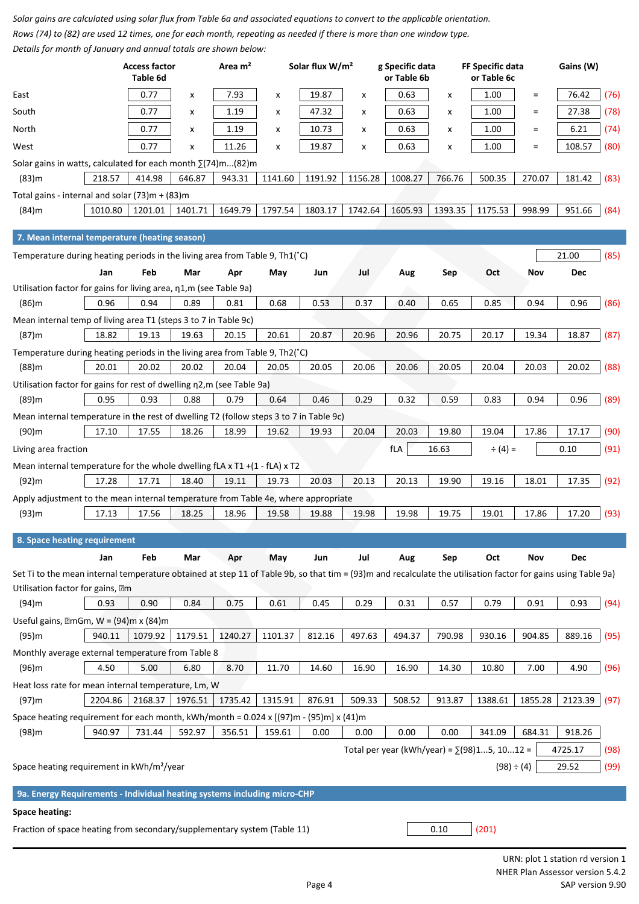Solar gains are calculated using solar flux from Table 6a and associated equations to convert to the applicable orientation. Rows (74) to (82) are used 12 times, one for each month, repeating as needed if there is more than one window type. *Details for month of January and annual totals are shown below:*

| Details for month of sundary and annual totals are shown below.                                                                                               |         | <b>Access factor</b><br>Table 6d |         | Area m <sup>2</sup> |                | Solar flux W/m <sup>2</sup> |         | g Specific data<br>or Table 6b                      |         | FF Specific data<br>or Table 6c |            | Gains (W)  |      |
|---------------------------------------------------------------------------------------------------------------------------------------------------------------|---------|----------------------------------|---------|---------------------|----------------|-----------------------------|---------|-----------------------------------------------------|---------|---------------------------------|------------|------------|------|
| East                                                                                                                                                          |         | 0.77                             | x       | 7.93                | $\pmb{\times}$ | 19.87                       | X       | 0.63                                                | X       | 1.00                            | $\equiv$   | 76.42      | (76) |
| South                                                                                                                                                         |         | 0.77                             | x       | 1.19                | x              | 47.32                       | x       | 0.63                                                | X       | 1.00                            | $\equiv$   | 27.38      | (78) |
| North                                                                                                                                                         |         | 0.77                             | x       | 1.19                | X              | 10.73                       | x       | 0.63                                                | X       | 1.00                            | $\equiv$   | 6.21       | (74) |
| West                                                                                                                                                          |         | 0.77                             | X       | 11.26               | X              | 19.87                       | x       | 0.63                                                | X       | 1.00                            | $\equiv$   | 108.57     | (80) |
| Solar gains in watts, calculated for each month $\Sigma(74)$ m(82)m                                                                                           |         |                                  |         |                     |                |                             |         |                                                     |         |                                 |            |            |      |
| $(83)$ m                                                                                                                                                      | 218.57  | 414.98                           | 646.87  | 943.31              | 1141.60        | 1191.92                     | 1156.28 | 1008.27                                             | 766.76  | 500.35                          | 270.07     | 181.42     | (83) |
| Total gains - internal and solar $(73)m + (83)m$                                                                                                              |         |                                  |         |                     |                |                             |         |                                                     |         |                                 |            |            |      |
| (84)m                                                                                                                                                         | 1010.80 | 1201.01                          | 1401.71 | 1649.79             | 1797.54        | 1803.17                     | 1742.64 | 1605.93                                             | 1393.35 | 1175.53                         | 998.99     | 951.66     | (84) |
| 7. Mean internal temperature (heating season)                                                                                                                 |         |                                  |         |                     |                |                             |         |                                                     |         |                                 |            |            |      |
| Temperature during heating periods in the living area from Table 9, Th1(°C)                                                                                   |         |                                  |         |                     |                |                             |         |                                                     |         |                                 |            | 21.00      | (85) |
|                                                                                                                                                               | Jan     | Feb                              | Mar     | Apr                 | May            | Jun                         | Jul     | Aug                                                 | Sep     | Oct                             | Nov        | <b>Dec</b> |      |
| Utilisation factor for gains for living area, n1,m (see Table 9a)                                                                                             |         |                                  |         |                     |                |                             |         |                                                     |         |                                 |            |            |      |
| $(86)$ m                                                                                                                                                      | 0.96    | 0.94                             | 0.89    | 0.81                | 0.68           | 0.53                        | 0.37    | 0.40                                                | 0.65    | 0.85                            | 0.94       | 0.96       | (86) |
| Mean internal temp of living area T1 (steps 3 to 7 in Table 9c)                                                                                               |         |                                  |         |                     |                |                             |         |                                                     |         |                                 |            |            |      |
| $(87)$ m                                                                                                                                                      | 18.82   | 19.13                            | 19.63   | 20.15               | 20.61          | 20.87                       | 20.96   | 20.96                                               | 20.75   | 20.17                           | 19.34      | 18.87      | (87) |
| Temperature during heating periods in the living area from Table 9, Th2(°C)                                                                                   |         |                                  |         |                     |                |                             |         |                                                     |         |                                 |            |            |      |
| (88)m                                                                                                                                                         | 20.01   | 20.02                            | 20.02   | 20.04               | 20.05          | 20.05                       | 20.06   | 20.06                                               | 20.05   | 20.04                           | 20.03      | 20.02      | (88) |
| Utilisation factor for gains for rest of dwelling n2,m (see Table 9a)                                                                                         |         |                                  |         |                     |                |                             |         |                                                     |         |                                 |            |            |      |
| (89)m                                                                                                                                                         | 0.95    | 0.93                             | 0.88    | 0.79                | 0.64           | 0.46                        | 0.29    | 0.32                                                | 0.59    | 0.83                            | 0.94       | 0.96       | (89) |
| Mean internal temperature in the rest of dwelling T2 (follow steps 3 to 7 in Table 9c)                                                                        |         |                                  |         |                     |                |                             |         |                                                     |         |                                 |            |            |      |
| (90)m                                                                                                                                                         | 17.10   | 17.55                            | 18.26   | 18.99               | 19.62          | 19.93                       | 20.04   | 20.03                                               | 19.80   | 19.04                           | 17.86      | 17.17      | (90) |
| Living area fraction                                                                                                                                          |         |                                  |         |                     |                |                             |         | fLA                                                 | 16.63   | $\div(4) =$                     |            | 0.10       | (91) |
| Mean internal temperature for the whole dwelling fLA x T1 +(1 - fLA) x T2                                                                                     |         |                                  |         |                     |                |                             |         |                                                     |         |                                 |            |            |      |
| $(92)$ m                                                                                                                                                      | 17.28   | 17.71                            | 18.40   | 19.11               | 19.73          | 20.03                       | 20.13   | 20.13                                               | 19.90   | 19.16                           | 18.01      | 17.35      | (92) |
| Apply adjustment to the mean internal temperature from Table 4e, where appropriate                                                                            |         |                                  |         |                     |                |                             |         |                                                     |         |                                 |            |            |      |
| $(93)$ m                                                                                                                                                      | 17.13   | 17.56                            | 18.25   | 18.96               | 19.58          | 19.88                       | 19.98   | 19.98                                               | 19.75   | 19.01                           | 17.86      | 17.20      | (93) |
| 8. Space heating requirement                                                                                                                                  |         |                                  |         |                     |                |                             |         |                                                     |         |                                 |            |            |      |
|                                                                                                                                                               | Jan     | Feb                              | Mar     | Apr                 | May            | Jun                         | Jul     | Aug                                                 | Sep     | Oct                             | Nov        | <b>Dec</b> |      |
| Set Ti to the mean internal temperature obtained at step 11 of Table 9b, so that tim = (93)m and recalculate the utilisation factor for gains using Table 9a) |         |                                  |         |                     |                |                             |         |                                                     |         |                                 |            |            |      |
| Utilisation factor for gains, am                                                                                                                              |         |                                  |         |                     |                |                             |         |                                                     |         |                                 |            |            |      |
| $(94)$ m                                                                                                                                                      | 0.93    | 0.90                             | 0.84    | 0.75                | 0.61           | 0.45                        | 0.29    | 0.31                                                | 0.57    | 0.79                            | 0.91       | 0.93       | (94) |
| Useful gains, $\mathbb{Z}$ mGm, W = (94)m x (84)m                                                                                                             |         |                                  |         |                     |                |                             |         |                                                     |         |                                 |            |            |      |
| $(95)$ m                                                                                                                                                      | 940.11  | 1079.92                          | 1179.51 | 1240.27             | 1101.37        | 812.16                      | 497.63  | 494.37                                              | 790.98  | 930.16                          | 904.85     | 889.16     | (95) |
| Monthly average external temperature from Table 8                                                                                                             |         |                                  |         |                     |                |                             |         |                                                     |         |                                 |            |            |      |
| $(96)$ m                                                                                                                                                      | 4.50    | 5.00                             | 6.80    | 8.70                | 11.70          | 14.60                       | 16.90   | 16.90                                               | 14.30   | 10.80                           | 7.00       | 4.90       | (96) |
| Heat loss rate for mean internal temperature, Lm, W                                                                                                           |         |                                  |         |                     |                |                             |         |                                                     |         |                                 |            |            |      |
| $(97)$ m                                                                                                                                                      | 2204.86 | 2168.37                          | 1976.51 | 1735.42             | 1315.91        | 876.91                      | 509.33  | 508.52                                              | 913.87  | 1388.61                         | 1855.28    | 2123.39    | (97) |
| Space heating requirement for each month, kWh/month = $0.024 \times [(97)m - (95)m] \times (41)m$                                                             |         |                                  |         |                     |                |                             |         |                                                     |         |                                 |            |            |      |
| (98)m                                                                                                                                                         | 940.97  | 731.44                           | 592.97  | 356.51              | 159.61         | 0.00                        | 0.00    | 0.00                                                | 0.00    | 341.09                          | 684.31     | 918.26     |      |
|                                                                                                                                                               |         |                                  |         |                     |                |                             |         | Total per year (kWh/year) = $\Sigma$ (98)15, 1012 = |         |                                 |            | 4725.17    | (98) |
| Space heating requirement in kWh/m <sup>2</sup> /year                                                                                                         |         |                                  |         |                     |                |                             |         |                                                     |         |                                 | (98) ÷ (4) | 29.52      | (99) |
| 9a. Energy Requirements - Individual heating systems including micro-CHP                                                                                      |         |                                  |         |                     |                |                             |         |                                                     |         |                                 |            |            |      |
| Space heating:                                                                                                                                                |         |                                  |         |                     |                |                             |         |                                                     |         |                                 |            |            |      |
| Fraction of space heating from secondary/supplementary system (Table 11)                                                                                      |         |                                  |         |                     |                |                             |         |                                                     | 0.10    | (201)                           |            |            |      |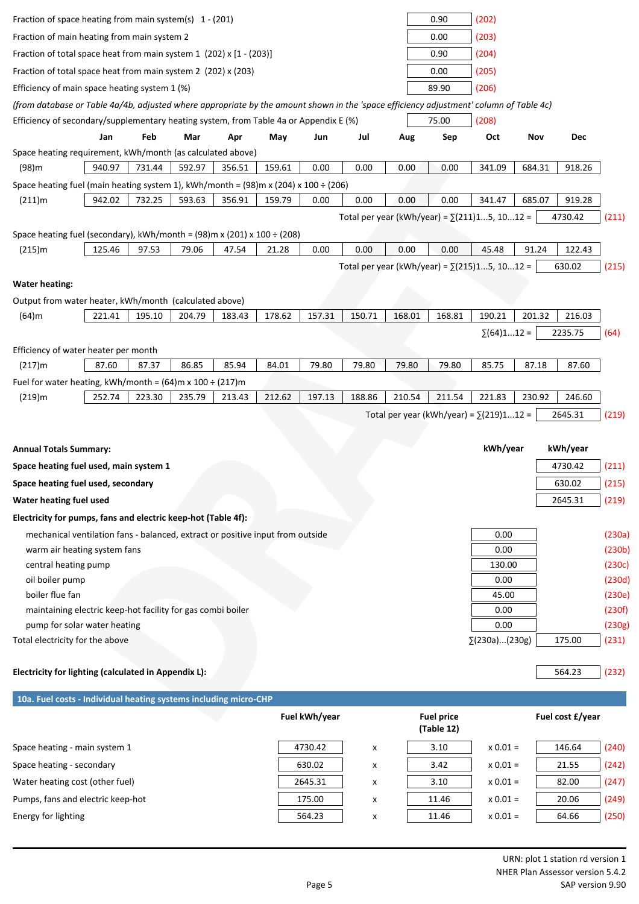| Fraction of space heating from main system(s) $1 - (201)$                                                                              |        |        |        |        |        |               |        |        | 0.90                            | (202)                                                |        |                  |                  |
|----------------------------------------------------------------------------------------------------------------------------------------|--------|--------|--------|--------|--------|---------------|--------|--------|---------------------------------|------------------------------------------------------|--------|------------------|------------------|
| Fraction of main heating from main system 2                                                                                            |        |        |        |        |        |               |        |        | 0.00                            | (203)                                                |        |                  |                  |
| Fraction of total space heat from main system 1 (202) x [1 - (203)]                                                                    |        |        |        |        |        |               |        |        | 0.90                            | (204)                                                |        |                  |                  |
| Fraction of total space heat from main system 2 (202) x (203)                                                                          |        |        |        |        |        |               | 0.00   | (205)  |                                 |                                                      |        |                  |                  |
| Efficiency of main space heating system 1 (%)                                                                                          |        |        |        |        |        |               |        |        | 89.90                           | (206)                                                |        |                  |                  |
| (from database or Table 4a/4b, adjusted where appropriate by the amount shown in the 'space efficiency adjustment' column of Table 4c) |        |        |        |        |        |               |        |        |                                 |                                                      |        |                  |                  |
| Efficiency of secondary/supplementary heating system, from Table 4a or Appendix E (%)                                                  |        |        |        |        |        |               |        |        | 75.00                           | (208)                                                |        |                  |                  |
|                                                                                                                                        | Jan    | Feb    | Mar    | Apr    | May    | Jun           | Jul    | Aug    | Sep                             | Oct                                                  | Nov    | <b>Dec</b>       |                  |
| Space heating requirement, kWh/month (as calculated above)                                                                             |        |        |        |        |        |               |        |        |                                 |                                                      |        |                  |                  |
| (98)m                                                                                                                                  | 940.97 | 731.44 | 592.97 | 356.51 | 159.61 | 0.00          | 0.00   | 0.00   | 0.00                            | 341.09                                               | 684.31 | 918.26           |                  |
| Space heating fuel (main heating system 1), kWh/month = $(98)$ m x $(204)$ x 100 ÷ $(206)$                                             |        |        |        |        |        |               |        |        |                                 |                                                      |        |                  |                  |
| (211)m                                                                                                                                 | 942.02 | 732.25 | 593.63 | 356.91 | 159.79 | 0.00          | 0.00   | 0.00   | 0.00                            | 341.47                                               | 685.07 | 919.28           |                  |
|                                                                                                                                        |        |        |        |        |        |               |        |        |                                 | Total per year (kWh/year) = $\Sigma$ (211)15, 1012 = |        | 4730.42          | (211)            |
| Space heating fuel (secondary), kWh/month = $(98)$ m x $(201)$ x $100 \div (208)$                                                      |        |        |        |        |        |               |        |        |                                 |                                                      |        |                  |                  |
| (215)m                                                                                                                                 | 125.46 | 97.53  | 79.06  | 47.54  | 21.28  | 0.00          | 0.00   | 0.00   | 0.00                            | 45.48                                                | 91.24  | 122.43           |                  |
|                                                                                                                                        |        |        |        |        |        |               |        |        |                                 | Total per year (kWh/year) = $\Sigma$ (215)15, 1012 = |        | 630.02           | (215)            |
| <b>Water heating:</b>                                                                                                                  |        |        |        |        |        |               |        |        |                                 |                                                      |        |                  |                  |
| Output from water heater, kWh/month (calculated above)                                                                                 |        |        |        |        |        |               |        |        |                                 |                                                      |        |                  |                  |
| $(64)$ m                                                                                                                               | 221.41 | 195.10 | 204.79 | 183.43 | 178.62 | 157.31        | 150.71 | 168.01 | 168.81                          | 190.21                                               | 201.32 | 216.03           |                  |
|                                                                                                                                        |        |        |        |        |        |               |        |        |                                 | $\Sigma(64)112 =$                                    |        | 2235.75          | (64)             |
|                                                                                                                                        |        |        |        |        |        |               |        |        |                                 |                                                      |        |                  |                  |
| Efficiency of water heater per month<br>(217)m                                                                                         | 87.60  | 87.37  | 86.85  | 85.94  | 84.01  | 79.80         | 79.80  | 79.80  | 79.80                           | 85.75                                                | 87.18  | 87.60            |                  |
| Fuel for water heating, kWh/month = $(64)$ m x 100 ÷ $(217)$ m                                                                         |        |        |        |        |        |               |        |        |                                 |                                                      |        |                  |                  |
| $(219)$ m                                                                                                                              | 252.74 | 223.30 | 235.79 | 213.43 | 212.62 | 197.13        | 188.86 | 210.54 | 211.54                          | 221.83                                               | 230.92 | 246.60           |                  |
|                                                                                                                                        |        |        |        |        |        |               |        |        |                                 | Total per year (kWh/year) = $\Sigma$ (219)112 =      |        | 2645.31          | (219)            |
|                                                                                                                                        |        |        |        |        |        |               |        |        |                                 |                                                      |        |                  |                  |
|                                                                                                                                        |        |        |        |        |        |               |        |        |                                 |                                                      |        |                  |                  |
| <b>Annual Totals Summary:</b>                                                                                                          |        |        |        |        |        |               |        |        |                                 | kWh/year                                             |        | kWh/year         |                  |
| Space heating fuel used, main system 1                                                                                                 |        |        |        |        |        |               |        |        |                                 |                                                      |        | 4730.42          | (211)            |
| Space heating fuel used, secondary                                                                                                     |        |        |        |        |        |               |        |        |                                 |                                                      |        | 630.02           | (215)            |
| Water heating fuel used                                                                                                                |        |        |        |        |        |               |        |        |                                 |                                                      |        | 2645.31          | (219)            |
| Electricity for pumps, fans and electric keep-hot (Table 4f):                                                                          |        |        |        |        |        |               |        |        |                                 |                                                      |        |                  |                  |
| mechanical ventilation fans - balanced, extract or positive input from outside                                                         |        |        |        |        |        |               |        |        |                                 | 0.00                                                 |        |                  | (230a)           |
| warm air heating system fans                                                                                                           |        |        |        |        |        |               |        |        |                                 | 0.00                                                 |        |                  | (230b)           |
| central heating pump                                                                                                                   |        |        |        |        |        |               |        |        |                                 | 130.00                                               |        |                  | (230c)           |
| oil boiler pump                                                                                                                        |        |        |        |        |        |               |        |        |                                 | 0.00                                                 |        |                  | (230d)           |
| boiler flue fan<br>maintaining electric keep-hot facility for gas combi boiler                                                         |        |        |        |        |        |               |        |        |                                 | 45.00                                                |        |                  | (230e)           |
| pump for solar water heating                                                                                                           |        |        |        |        |        |               |        |        |                                 | 0.00<br>0.00                                         |        |                  | (230f)<br>(230g) |
| Total electricity for the above                                                                                                        |        |        |        |        |        |               |        |        |                                 | $\Sigma(230a)(230g)$                                 |        | 175.00           | (231)            |
|                                                                                                                                        |        |        |        |        |        |               |        |        |                                 |                                                      |        |                  |                  |
| Electricity for lighting (calculated in Appendix L):                                                                                   |        |        |        |        |        |               |        |        |                                 |                                                      |        | 564.23           | (232)            |
| 10a. Fuel costs - Individual heating systems including micro-CHP                                                                       |        |        |        |        |        |               |        |        |                                 |                                                      |        |                  |                  |
|                                                                                                                                        |        |        |        |        |        | Fuel kWh/year |        |        | <b>Fuel price</b><br>(Table 12) |                                                      |        | Fuel cost £/year |                  |
| Space heating - main system 1                                                                                                          |        |        |        |        |        | 4730.42       | x      |        | 3.10                            | $x 0.01 =$                                           |        | 146.64           | (240)            |
| Space heating - secondary                                                                                                              |        |        |        |        |        | 630.02        | x      |        | 3.42                            | $x 0.01 =$                                           |        | 21.55            | (242)            |

Pumps, fans and electric keep-hot 175.00 x 11.46 x 0.01 = 20.06 (249) Energy for lighting  $564.23 \times 11.46 \times 0.01 = 64.66$  (250)

Water heating cost (other fuel)  $2645.31 \t x \t 3.10 \t x 0.01 = \t 82.00 \t (247)$